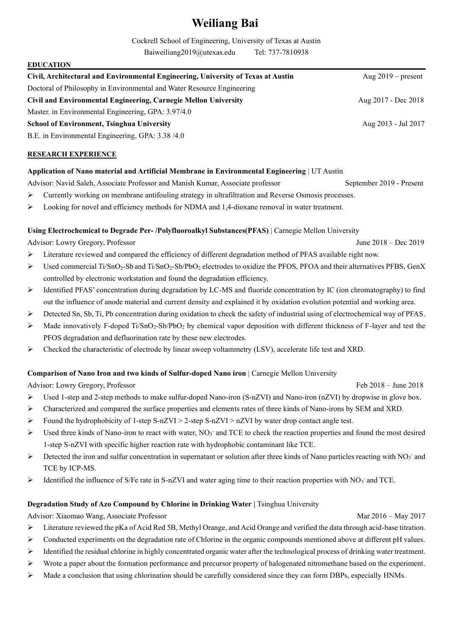# **Weiliang Bai**

Cockrell School of Engineering, University of Texas at Austin

Baiweiliang2019@utexas.edu Tel: 737-7810938

| <b>EDUCATION</b>                                                                  |                      |
|-----------------------------------------------------------------------------------|----------------------|
| Civil, Architectural and Environmental Engineering, University of Texas at Austin | Aug $2019$ – present |
| Doctoral of Philosophy in Environmental and Water Resource Engineering            |                      |
| Civil and Environmental Engineering, Carnegie Mellon University                   | Aug 2017 - Dec 2018  |
| Master. in Environmental Engineering, GPA: 3.97/4.0                               |                      |
| <b>School of Environment, Tsinghua University</b>                                 | Aug 2013 - Jul 2017  |
| B.E. in Environmental Engineering, GPA: 3.38/4.0                                  |                      |

# **RESEARCH EXPERIENCE**

## **Application of Nano material and Artificial Membrane in Environmental Engineering** | UT Austin

Advisor: Navid Saleh, Associate Professor and Manish Kumar, Associate professor September 2019 - Present

- ➢ Currently working on membrane antifouling strategy in ultrafiltration and Reverse Osmosis processes.
- ➢ Looking for novel and efficiency methods for NDMA and 1,4-dioxane removal in water treatment.

## **Using Electrochemical to Degrade Per- /Polyfluoroalkyl Substances(PFAS)** | Carnegie Mellon University

Advisor: Lowry Gregory, Professor June 2018 – Dec 2019

- ➢ Literature reviewed and compared the efficiency of different degradation method of PFAS available right now.
- ➢ Used commercial Ti/SnO2-Sb and Ti/SnO2-Sb/PbO<sup>2</sup> electrodes to oxidize the PFOS, PFOA and their alternatives PFBS, GenX controlled by electronic workstation and found the degradation efficiency.
- ➢ Identified PFAS' concentration during degradation by LC-MS and fluoride concentration by IC (ion chromatography) to find out the influence of anode material and current density and explained it by oxidation evolution potential and working area.
- ➢ Detected Sn, Sb, Ti, Pb concentration during oxidation to check the safety of industrial using of electrochemical way of PFAS.
- $\triangleright$  Made innovatively F-doped Ti/SnO<sub>2</sub>-Sb/PbO<sub>2</sub> by chemical vapor deposition with different thickness of F-layer and test the PFOS degradation and defluorination rate by these new electrodes.
- ➢ Checked the characteristic of electrode by linear sweep voltammetry (LSV), accelerate life test and XRD.

## **Comparison of Nano Iron and two kinds of Sulfur-doped Nano iron** | Carnegie Mellon University

Advisor: Lowry Gregory, Professor Feb 2018 – June 2018

- $\triangleright$  Used 1-step and 2-step methods to make sulfur-doped Nano-iron (S-nZVI) and Nano-iron (nZVI) by dropwise in glove box.
- ➢ Characterized and compared the surface properties and elements rates of three kinds of Nano-irons by SEM and XRD.
- ➢ Found the hydrophobicity of 1-step S-nZVI > 2-step S-nZVI > nZVI by water drop contact angle test.
- > Used three kinds of Nano-iron to react with water, NO<sub>3</sub> and TCE to check the reaction properties and found the most desired 1-step S-nZVI with specific higher reaction rate with hydrophobic contaminant like TCE.
- $\triangleright$  Detected the iron and sulfur concentration in supernatant or solution after three kinds of Nano particles reacting with NO<sub>3</sub> and TCE by ICP-MS.
- > Identified the influence of S/Fe rate in S-nZVI and water aging time to their reaction properties with NO<sub>3</sub> and TCE.

## **Degradation Study of Azo Compound by Chlorine in Drinking Water |** Tsinghua University

Advisor: Xiaomao Wang, Associate Professor Mar 2016 – May 2017

- ➢ Literature reviewed the pKa of Acid Red 5B, Methyl Orange, and Acid Orange and verified the data through acid-base titration.
- ➢ Conducted experiments on the degradation rate of Chlorine in the organic compounds mentioned above at different pH values.
- ➢ Identified the residual chlorine in highly concentrated organic water after the technological process of drinking water treatment.
- ➢ Wrote a paper about the formation performance and precursor property of halogenated nitromethane based on the experiment.
- ➢ Made a conclusion that using chlorination should be carefully considered since they can form DBPs, especially HNMs.